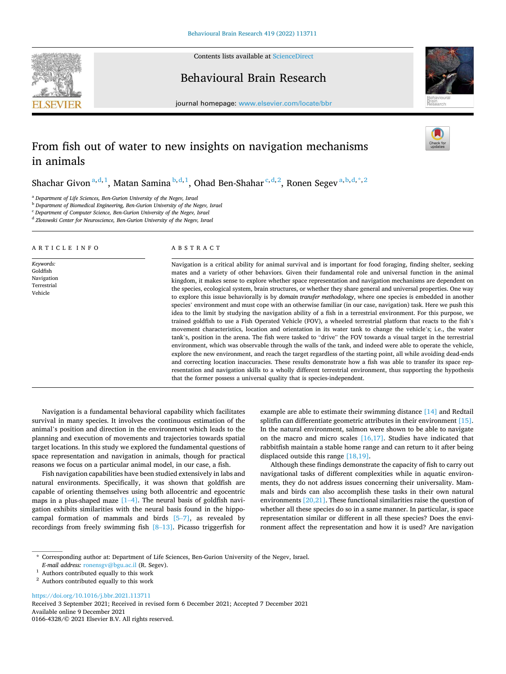

A R T I C L E I N F O

*Keywords:*  Goldfish Navigation Terrestrial Vehicle

Contents lists available at [ScienceDirect](www.sciencedirect.com/science/journal/01664328)

Behavioural Brain Research



journal homepage: [www.elsevier.com/locate/bbr](https://www.elsevier.com/locate/bbr) 

# From fish out of water to new insights on navigation mechanisms in animals

Shachar Givon  $a,d,1}$ , Matan Samina  $b,d,1}$ , Ohad Ben-Shahar  $c,d,2}$ , Ronen Segev $a,b,d,*$ , 2

<sup>a</sup> *Department of Life Sciences, Ben-Gurion University of the Negev, Israel* 

<sup>b</sup> *Department of Biomedical Engineering, Ben-Gurion University of the Negev, Israel* 

<sup>c</sup> *Department of Computer Science, Ben-Gurion University of the Negev, Israel* 

<sup>d</sup> Zlotowski Center for Neuroscience, Ben-Gurion University of the Negev, Israel

## ABSTRACT

Navigation is a critical ability for animal survival and is important for food foraging, finding shelter, seeking mates and a variety of other behaviors. Given their fundamental role and universal function in the animal kingdom, it makes sense to explore whether space representation and navigation mechanisms are dependent on the species, ecological system, brain structures, or whether they share general and universal properties. One way to explore this issue behaviorally is by *domain transfer methodology*, where one species is embedded in another species' environment and must cope with an otherwise familiar (in our case, navigation) task. Here we push this idea to the limit by studying the navigation ability of a fish in a terrestrial environment. For this purpose, we trained goldfish to use a Fish Operated Vehicle (FOV), a wheeled terrestrial platform that reacts to the fish's movement characteristics, location and orientation in its water tank to change the vehicle's; i.e., the water tank's, position in the arena. The fish were tasked to "drive" the FOV towards a visual target in the terrestrial environment, which was observable through the walls of the tank, and indeed were able to operate the vehicle, explore the new environment, and reach the target regardless of the starting point, all while avoiding dead-ends and correcting location inaccuracies. These results demonstrate how a fish was able to transfer its space representation and navigation skills to a wholly different terrestrial environment, thus supporting the hypothesis that the former possess a universal quality that is species-independent.

Navigation is a fundamental behavioral capability which facilitates survival in many species. It involves the continuous estimation of the animal's position and direction in the environment which leads to the planning and execution of movements and trajectories towards spatial target locations. In this study we explored the fundamental questions of space representation and navigation in animals, though for practical reasons we focus on a particular animal model, in our case, a fish.

Fish navigation capabilities have been studied extensively in labs and natural environments. Specifically, it was shown that goldfish are capable of orienting themselves using both allocentric and egocentric maps in a plus-shaped maze  $[1-4]$  $[1-4]$ . The neural basis of goldfish navigation exhibits similarities with the neural basis found in the hippocampal formation of mammals and birds  $[5-7]$  $[5-7]$ , as revealed by recordings from freely swimming fish [8–[13\]](#page-6-0). Picasso triggerfish for

example are able to estimate their swimming distance [\[14\]](#page-6-0) and Redtail splitfin can differentiate geometric attributes in their environment [\[15\]](#page-6-0). In the natural environment, salmon were shown to be able to navigate on the macro and micro scales [\[16,17\].](#page-6-0) Studies have indicated that rabbitfish maintain a stable home range and can return to it after being displaced outside this range [\[18,19\]](#page-6-0).

Although these findings demonstrate the capacity of fish to carry out navigational tasks of different complexities while in aquatic environments, they do not address issues concerning their universality. Mammals and birds can also accomplish these tasks in their own natural environments [\[20,21\]](#page-7-0). These functional similarities raise the question of whether all these species do so in a same manner. In particular, is space representation similar or different in all these species? Does the environment affect the representation and how it is used? Are navigation

<https://doi.org/10.1016/j.bbr.2021.113711>

Available online 9 December 2021 0166-4328/© 2021 Elsevier B.V. All rights reserved. Received 3 September 2021; Received in revised form 6 December 2021; Accepted 7 December 2021

<sup>\*</sup> Corresponding author at: Department of Life Sciences, Ben-Gurion University of the Negev, Israel.

*E-mail address:* [ronensgv@bgu.ac.il](mailto:ronensgv@bgu.ac.il) (R. Segev).

<sup>&</sup>lt;sup>1</sup> Authors contributed equally to this work

<sup>&</sup>lt;sup>2</sup> Authors contributed equally to this work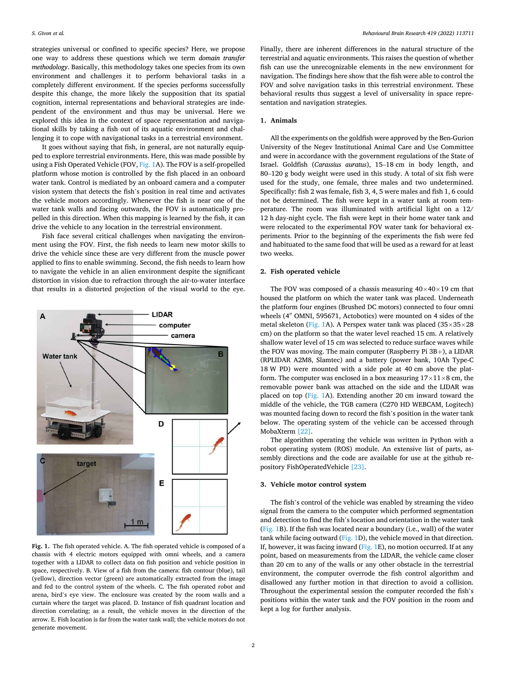<span id="page-1-0"></span>strategies universal or confined to specific species? Here, we propose one way to address these questions which we term *domain transfer methodology*. Basically, this methodology takes one species from its own environment and challenges it to perform behavioral tasks in a completely different environment. If the species performs successfully despite this change, the more likely the supposition that its spatial cognition, internal representations and behavioral strategies are independent of the environment and thus may be universal. Here we explored this idea in the context of space representation and navigational skills by taking a fish out of its aquatic environment and challenging it to cope with navigational tasks in a terrestrial environment.

It goes without saying that fish, in general, are not naturally equipped to explore terrestrial environments. Here, this was made possible by using a Fish Operated Vehicle (FOV, Fig. 1A). The FOV is a self-propelled platform whose motion is controlled by the fish placed in an onboard water tank. Control is mediated by an onboard camera and a computer vision system that detects the fish's position in real time and activates the vehicle motors accordingly. Whenever the fish is near one of the water tank walls and facing outwards, the FOV is automatically propelled in this direction. When this mapping is learned by the fish, it can drive the vehicle to any location in the terrestrial environment.

Fish face several critical challenges when navigating the environment using the FOV. First, the fish needs to learn new motor skills to drive the vehicle since these are very different from the muscle power applied to fins to enable swimming. Second, the fish needs to learn how to navigate the vehicle in an alien environment despite the significant distortion in vision due to refraction through the air-to-water interface that results in a distorted projection of the visual world to the eye.



**Fig. 1.** The fish operated vehicle. A. The fish operated vehicle is composed of a chassis with 4 electric motors equipped with omni wheels, and a camera together with a LIDAR to collect data on fish position and vehicle position in space, respectively. B. View of a fish from the camera: fish contour (blue), tail (yellow), direction vector (green) are automatically extracted from the image and fed to the control system of the wheels. C. The fish operated robot and arena, bird's eye view. The enclosure was created by the room walls and a curtain where the target was placed. D. Instance of fish quadrant location and direction correlating; as a result, the vehicle moves in the direction of the arrow. E. Fish location is far from the water tank wall; the vehicle motors do not generate movement.

Finally, there are inherent differences in the natural structure of the terrestrial and aquatic environments. This raises the question of whether fish can use the unrecognizable elements in the new environment for navigation. The findings here show that the fish were able to control the FOV and solve navigation tasks in this terrestrial environment. These behavioral results thus suggest a level of universality in space representation and navigation strategies.

## **1. Animals**

All the experiments on the goldfish were approved by the Ben-Gurion University of the Negev Institutional Animal Care and Use Committee and were in accordance with the government regulations of the State of Israel. Goldfish (*Carassius auratus*), 15–18 cm in body length, and 80–120 g body weight were used in this study. A total of six fish were used for the study, one female, three males and two undetermined. Specifically: fish 2 was female, fish 3, 4, 5 were males and fish 1, 6 could not be determined. The fish were kept in a water tank at room temperature. The room was illuminated with artificial light on a 12/ 12 h day-night cycle. The fish were kept in their home water tank and were relocated to the experimental FOV water tank for behavioral experiments. Prior to the beginning of the experiments the fish were fed and habituated to the same food that will be used as a reward for at least two weeks.

# **2. Fish operated vehicle**

The FOV was composed of a chassis measuring  $40\times40\times19$  cm that housed the platform on which the water tank was placed. Underneath the platform four engines (Brushed DC motors) connected to four omni wheels (4′′ OMNI, 595671, Actobotics) were mounted on 4 sides of the metal skeleton (Fig. 1A). A Perspex water tank was placed ( $35\times35\times28$ cm) on the platform so that the water level reached 15 cm. A relatively shallow water level of 15 cm was selected to reduce surface waves while the FOV was moving. The main computer (Raspberry Pi 3B+), a LIDAR (RPLIDAR A2M8, Slamtec) and a battery (power bank, 10Ah Type-C 18 W PD) were mounted with a side pole at 40 cm above the platform. The computer was enclosed in a box measuring  $17 \times 11 \times 8$  cm, the removable power bank was attached on the side and the LIDAR was placed on top (Fig. 1A). Extending another 20 cm inward toward the middle of the vehicle, the TGB camera (C270 HD WEBCAM, Logitech) was mounted facing down to record the fish's position in the water tank below. The operating system of the vehicle can be accessed through MobaXterm [\[22\]](#page-7-0).

The algorithm operating the vehicle was written in Python with a robot operating system (ROS) module. An extensive list of parts, assembly directions and the code are available for use at the github repository FishOperatedVehicle [\[23\]](#page-7-0).

#### **3. Vehicle motor control system**

The fish's control of the vehicle was enabled by streaming the video signal from the camera to the computer which performed segmentation and detection to find the fish's location and orientation in the water tank (Fig. 1B). If the fish was located near a boundary (i.e., wall) of the water tank while facing outward (Fig. 1D), the vehicle moved in that direction. If, however, it was facing inward (Fig. 1E), no motion occurred. If at any point, based on measurements from the LIDAR, the vehicle came closer than 20 cm to any of the walls or any other obstacle in the terrestrial environment, the computer overrode the fish control algorithm and disallowed any further motion in that direction to avoid a collision. Throughout the experimental session the computer recorded the fish's positions within the water tank and the FOV position in the room and kept a log for further analysis.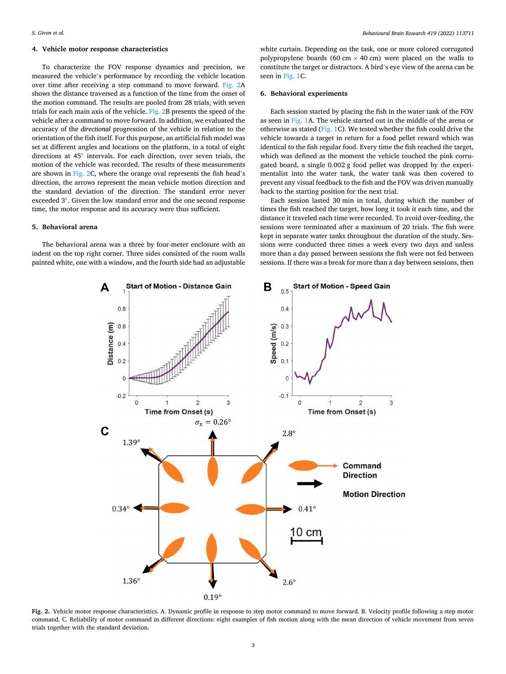# <span id="page-2-0"></span>**4. Vehicle motor response characteristics**

To characterize the FOV response dynamics and precision, we measured the vehicle's performance by recording the vehicle location over time after receiving a step command to move forward. Fig. 2A shows the distance traversed as a function of the time from the onset of the motion command. The results are pooled from 28 trials, with seven trials for each main axis of the vehicle. Fig. 2B presents the speed of the vehicle after a command to move forward. In addition, we evaluated the accuracy of the *directional* progression of the vehicle in relation to the orientation of the fish itself. For this purpose, an artificial fish model was set at different angles and locations on the platform, in a total of eight directions at 45◦ intervals. For each direction, over seven trials, the motion of the vehicle was recorded. The results of these measurements are shown in Fig. 2C, where the orange oval represents the fish head's direction, the arrows represent the mean vehicle motion direction and the standard deviation of the direction. The standard error never exceeded 3◦ . Given the low standard error and the one second response time, the motor response and its accuracy were thus sufficient.

# **5. Behavioral arena**

The behavioral arena was a three by four-meter enclosure with an indent on the top right corner. Three sides consisted of the room walls painted white, one with a window, and the fourth side had an adjustable

white curtain. Depending on the task, one or more colored corrugated polypropylene boards (60 cm  $\times$  40 cm) were placed on the walls to constitute the target or distractors. A bird's eye view of the arena can be seen in [Fig. 1C](#page-1-0).

# **6. Behavioral experiments**

Each session started by placing the fish in the water tank of the FOV as seen in [Fig. 1](#page-1-0)A. The vehicle started out in the middle of the arena or otherwise as stated [\(Fig. 1C](#page-1-0)). We tested whether the fish could drive the vehicle towards a target in return for a food pellet reward which was identical to the fish regular food. Every time the fish reached the target, which was defined as the moment the vehicle touched the pink corrugated board, a single 0.002 g food pellet was dropped by the experimentalist into the water tank, the water tank was then covered to prevent any visual feedback to the fish and the FOV was driven manually back to the starting position for the next trial.

Each session lasted 30 min in total, during which the number of times the fish reached the target, how long it took it each time, and the distance it traveled each time were recorded. To avoid over-feeding, the sessions were terminated after a maximum of 20 trials. The fish were kept in separate water tanks throughout the duration of the study. Sessions were conducted three times a week every two days and unless more than a day passed between sessions the fish were not fed between sessions. If there was a break for more than a day between sessions, then



**Fig. 2.** Vehicle motor response characteristics. A. Dynamic profile in response to step motor command to move forward. B. Velocity profile following a step motor command. C. Reliability of motor command in different directions: eight examples of fish motion along with the mean direction of vehicle movement from seven trials together with the standard deviation.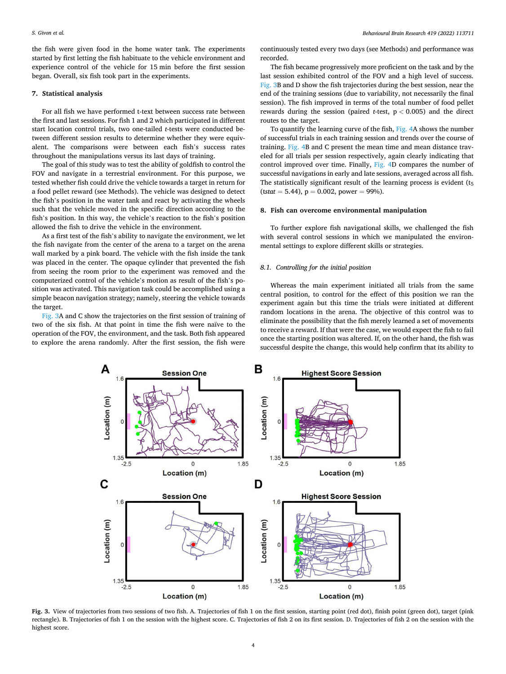the fish were given food in the home water tank. The experiments started by first letting the fish habituate to the vehicle environment and experience control of the vehicle for 15 min before the first session began. Overall, six fish took part in the experiments.

## **7. Statistical analysis**

For all fish we have performed t-text between success rate between the first and last sessions. For fish 1 and 2 which participated in different start location control trials, two one-tailed *t*-tests were conducted between different session results to determine whether they were equivalent. The comparisons were between each fish's success rates throughout the manipulations versus its last days of training.

The goal of this study was to test the ability of goldfish to control the FOV and navigate in a terrestrial environment. For this purpose, we tested whether fish could drive the vehicle towards a target in return for a food pellet reward (see Methods). The vehicle was designed to detect the fish's position in the water tank and react by activating the wheels such that the vehicle moved in the specific direction according to the fish's position. In this way, the vehicle's reaction to the fish's position allowed the fish to drive the vehicle in the environment.

As a first test of the fish's ability to navigate the environment, we let the fish navigate from the center of the arena to a target on the arena wall marked by a pink board. The vehicle with the fish inside the tank was placed in the center. The opaque cylinder that prevented the fish from seeing the room prior to the experiment was removed and the computerized control of the vehicle's motion as result of the fish's position was activated. This navigation task could be accomplished using a simple beacon navigation strategy; namely, steering the vehicle towards the target.

Fig. 3A and C show the trajectories on the first session of training of two of the six fish. At that point in time the fish were naïve to the operation of the FOV, the environment, and the task. Both fish appeared to explore the arena randomly. After the first session, the fish were

continuously tested every two days (see Methods) and performance was recorded.

The fish became progressively more proficient on the task and by the last session exhibited control of the FOV and a high level of success. Fig. 3B and D show the fish trajectories during the best session, near the end of the training sessions (due to variability, not necessarily the final session). The fish improved in terms of the total number of food pellet rewards during the session (paired *t*-test, p *<* 0.005) and the direct routes to the target.

To quantify the learning curve of the fish, [Fig. 4](#page-4-0)A shows the number of successful trials in each training session and trends over the course of training. [Fig. 4](#page-4-0)B and C present the mean time and mean distance traveled for all trials per session respectively, again clearly indicating that control improved over time. Finally, [Fig. 4](#page-4-0)D compares the number of successful navigations in early and late sessions, averaged across all fish. The statistically significant result of the learning process is evident  $(t_5)$  $(tstat = 5.44)$ ,  $p = 0.002$ , power = 99%).

#### **8. Fish can overcome environmental manipulation**

To further explore fish navigational skills, we challenged the fish with several control sessions in which we manipulated the environmental settings to explore different skills or strategies.

## *8.1. Controlling for the initial position*

Whereas the main experiment initiated all trials from the same central position, to control for the effect of this position we ran the experiment again but this time the trials were initiated at different random locations in the arena. The objective of this control was to eliminate the possibility that the fish merely learned a set of movements to receive a reward. If that were the case, we would expect the fish to fail once the starting position was altered. If, on the other hand, the fish was successful despite the change, this would help confirm that its ability to



**Fig. 3.** View of trajectories from two sessions of two fish. A. Trajectories of fish 1 on the first session, starting point (red dot), finish point (green dot), target (pink rectangle). B. Trajectories of fish 1 on the session with the highest score. C. Trajectories of fish 2 on its first session. D. Trajectories of fish 2 on the session with the highest score.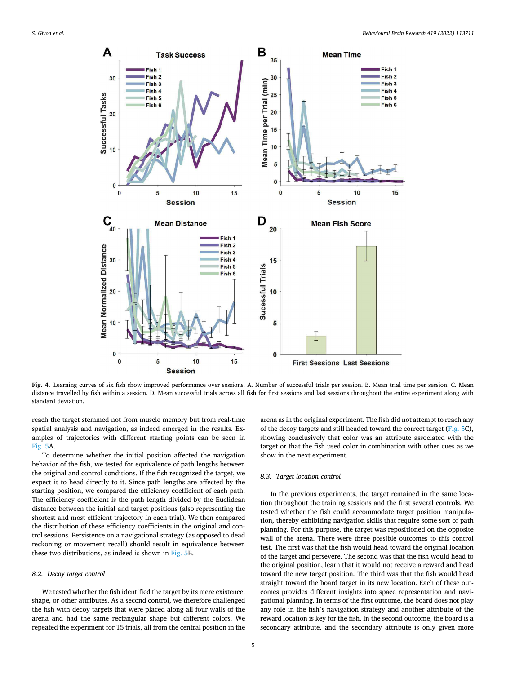<span id="page-4-0"></span>

**Fig. 4.** Learning curves of six fish show improved performance over sessions. A. Number of successful trials per session. B. Mean trial time per session. C. Mean distance travelled by fish within a session. D. Mean successful trials across all fish for first sessions and last sessions throughout the entire experiment along with standard deviation.

reach the target stemmed not from muscle memory but from real-time spatial analysis and navigation, as indeed emerged in the results. Examples of trajectories with different starting points can be seen in [Fig. 5A](#page-5-0).

To determine whether the initial position affected the navigation behavior of the fish, we tested for equivalence of path lengths between the original and control conditions. If the fish recognized the target, we expect it to head directly to it. Since path lengths are affected by the starting position, we compared the efficiency coefficient of each path. The efficiency coefficient is the path length divided by the Euclidean distance between the initial and target positions (also representing the shortest and most efficient trajectory in each trial). We then compared the distribution of these efficiency coefficients in the original and control sessions. Persistence on a navigational strategy (as opposed to dead reckoning or movement recall) should result in equivalence between these two distributions, as indeed is shown in [Fig. 5](#page-5-0)B.

#### *8.2. Decoy target control*

We tested whether the fish identified the target by its mere existence, shape, or other attributes. As a second control, we therefore challenged the fish with decoy targets that were placed along all four walls of the arena and had the same rectangular shape but different colors. We repeated the experiment for 15 trials, all from the central position in the

arena as in the original experiment. The fish did not attempt to reach any of the decoy targets and still headed toward the correct target ([Fig. 5](#page-5-0)C), showing conclusively that color was an attribute associated with the target or that the fish used color in combination with other cues as we show in the next experiment.

# *8.3. Target location control*

In the previous experiments, the target remained in the same location throughout the training sessions and the first several controls. We tested whether the fish could accommodate target position manipulation, thereby exhibiting navigation skills that require some sort of path planning. For this purpose, the target was repositioned on the opposite wall of the arena. There were three possible outcomes to this control test. The first was that the fish would head toward the original location of the target and persevere. The second was that the fish would head to the original position, learn that it would not receive a reward and head toward the new target position. The third was that the fish would head straight toward the board target in its new location. Each of these outcomes provides different insights into space representation and navigational planning. In terms of the first outcome, the board does not play any role in the fish's navigation strategy and another attribute of the reward location is key for the fish. In the second outcome, the board is a secondary attribute, and the secondary attribute is only given more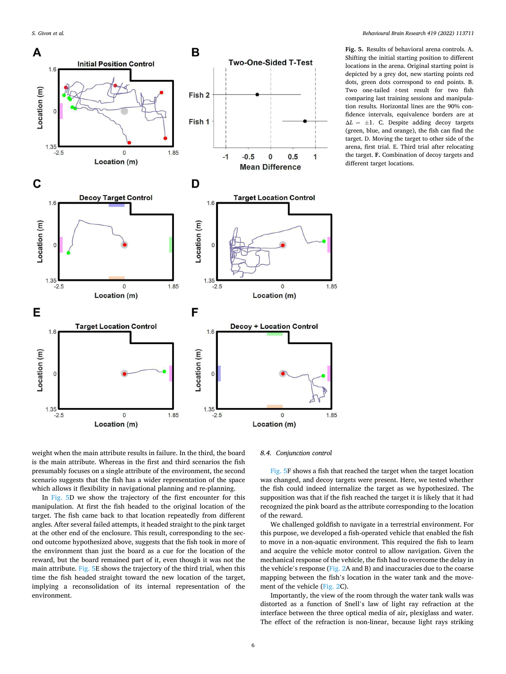<span id="page-5-0"></span>

**Fig. 5.** Results of behavioral arena controls. A. Shifting the initial starting position to different locations in the arena. Original starting point is depicted by a grey dot, new starting points red dots, green dots correspond to end points. B. Two one-tailed *t*-test result for two fish comparing last training sessions and manipulation results. Horizontal lines are the 90% confidence intervals, equivalence borders are at  $\Delta L = \pm 1$ . C. Despite adding decoy targets (green, blue, and orange), the fish can find the target. D. Moving the target to other side of the arena, first trial. E. Third trial after relocating the target. **F.** Combination of decoy targets and different target locations.

weight when the main attribute results in failure. In the third, the board is the main attribute. Whereas in the first and third scenarios the fish presumably focuses on a single attribute of the environment, the second scenario suggests that the fish has a wider representation of the space which allows it flexibility in navigational planning and re-planning.

In Fig. 5D we show the trajectory of the first encounter for this manipulation. At first the fish headed to the original location of the target. The fish came back to that location repeatedly from different angles. After several failed attempts, it headed straight to the pink target at the other end of the enclosure. This result, corresponding to the second outcome hypothesized above, suggests that the fish took in more of the environment than just the board as a cue for the location of the reward, but the board remained part of it, even though it was not the main attribute. Fig. 5E shows the trajectory of the third trial, when this time the fish headed straight toward the new location of the target, implying a reconsolidation of its internal representation of the environment.

# *8.4. Conjunction control*

Fig. 5F shows a fish that reached the target when the target location was changed, and decoy targets were present. Here, we tested whether the fish could indeed internalize the target as we hypothesized. The supposition was that if the fish reached the target it is likely that it had recognized the pink board as the attribute corresponding to the location of the reward.

We challenged goldfish to navigate in a terrestrial environment. For this purpose, we developed a fish-operated vehicle that enabled the fish to move in a non-aquatic environment. This required the fish to learn and acquire the vehicle motor control to allow navigation. Given the mechanical response of the vehicle, the fish had to overcome the delay in the vehicle's response ([Fig. 2](#page-2-0)A and B) and inaccuracies due to the coarse mapping between the fish's location in the water tank and the movement of the vehicle [\(Fig. 2](#page-2-0)C).

Importantly, the view of the room through the water tank walls was distorted as a function of Snell's law of light ray refraction at the interface between the three optical media of air**,** plexiglass and water. The effect of the refraction is non-linear, because light rays striking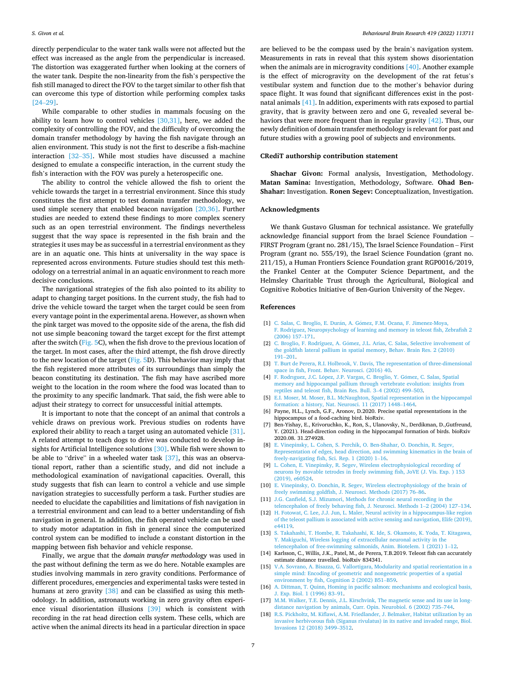<span id="page-6-0"></span>directly perpendicular to the water tank walls were not affected but the effect was increased as the angle from the perpendicular is increased. The distortion was exaggerated further when looking at the corners of the water tank. Despite the non-linearity from the fish's perspective the fish still managed to direct the FOV to the target similar to other fish that can overcome this type of distortion while performing complex tasks [24–[29\]](#page-7-0).

While comparable to other studies in mammals focusing on the ability to learn how to control vehicles [\[30,31\]](#page-7-0), here, we added the complexity of controlling the FOV, and the difficulty of overcoming the domain transfer methodology by having the fish navigate through an alien environment. This study is not the first to describe a fish-machine interaction [32–[35\]](#page-7-0). While most studies have discussed a machine designed to emulate a conspecific interaction, in the current study the fish's interaction with the FOV was purely a heterospecific one.

The ability to control the vehicle allowed the fish to orient the vehicle towards the target in a terrestrial environment. Since this study constitutes the first attempt to test domain transfer methodology, we used simple scenery that enabled beacon navigation [\[20,36\].](#page-7-0) Further studies are needed to extend these findings to more complex scenery such as an open terrestrial environment. The findings nevertheless suggest that the way space is represented in the fish brain and the strategies it uses may be as successful in a terrestrial environment as they are in an aquatic one. This hints at universality in the way space is represented across environments. Future studies should test this methodology on a terrestrial animal in an aquatic environment to reach more decisive conclusions.

The navigational strategies of the fish also pointed to its ability to adapt to changing target positions. In the current study, the fish had to drive the vehicle toward the target when the target could be seen from every vantage point in the experimental arena. However, as shown when the pink target was moved to the opposite side of the arena, the fish did not use simple beaconing toward the target except for the first attempt after the switch [\(Fig. 5C](#page-5-0)), when the fish drove to the previous location of the target. In most cases, after the third attempt, the fish drove directly to the new location of the target ( $Fig. 5D$  $Fig. 5D$ ). This behavior may imply that the fish registered more attributes of its surroundings than simply the beacon constituting its destination. The fish may have ascribed more weight to the location in the room where the food was located than to the proximity to any specific landmark. That said, the fish were able to adjust their strategy to correct for unsuccessful initial attempts.

It is important to note that the concept of an animal that controls a vehicle draws on previous work. Previous studies on rodents have explored their ability to reach a target using an automated vehicle [\[31\]](#page-7-0). A related attempt to teach dogs to drive was conducted to develop insights for Artificial Intelligence solutions [\[30\].](#page-7-0) While fish were shown to be able to "drive" in a wheeled water task  $[37]$ , this was an observational report, rather than a scientific study, and did not include a methodological examination of navigational capacities. Overall, this study suggests that fish can learn to control a vehicle and use simple navigation strategies to successfully perform a task. Further studies are needed to elucidate the capabilities and limitations of fish navigation in a terrestrial environment and can lead to a better understanding of fish navigation in general. In addition, the fish operated vehicle can be used to study motor adaptation in fish in general since the computerized control system can be modified to include a constant distortion in the mapping between fish behavior and vehicle response.

Finally, we argue that the *domain transfer methodology* was used in the past without defining the term as we do here. Notable examples are studies involving mammals in zero gravity conditions. Performance of different procedures, emergencies and experimental tasks were tested in humans at zero gravity [\[38\]](#page-7-0) and can be classified as using this methodology. In addition, astronauts working in zero gravity often experience visual disorientation illusions [\[39\]](#page-7-0) which is consistent with recording in the rat head direction cells system. These cells, which are active when the animal directs its head in a particular direction in space

are believed to be the compass used by the brain's navigation system. Measurements in rats in reveal that this system shows disorientation when the animals are in microgravity conditions [\[40\].](#page-7-0) Another example is the effect of microgravity on the development of the rat fetus's vestibular system and function due to the mother's behavior during space flight. It was found that significant differences exist in the postnatal animals [\[41\]](#page-7-0). In addition, experiments with rats exposed to partial gravity, that is gravity between zero and one G, revealed several behaviors that were more frequent than in regular gravity [\[42\].](#page-7-0) Thus, our newly definition of domain transfer methodology is relevant for past and future studies with a growing pool of subjects and environments.

## **CRediT authorship contribution statement**

**Shachar Givon:** Formal analysis, Investigation, Methodology. **Matan Samina:** Investigation, Methodology, Software. **Ohad Ben-Shahar:** Investigation. **Ronen Segev:** Conceptualization, Investigation.

## **Acknowledgments**

We thank Gustavo Glusman for technical assistance. We gratefully acknowledge financial support from the Israel Science Foundation – FIRST Program (grant no. 281/15), The Israel Science Foundation – First Program (grant no. 555/19), the Israel Science Foundation (grant no. 211/15), a Human Frontiers Science Foundation grant RGP0016/2019, the Frankel Center at the Computer Science Department, and the Helmsley Charitable Trust through the Agricultural, Biological and Cognitive Robotics Initiative of Ben-Gurion University of the Negev.

#### **References**

- [1] C. Salas, C. Broglio, E. Durán, A. Gómez, F.M. Ocana, F. Jimenez-Moya, [F. Rodriguez, Neuropsychology of learning and memory in teleost fish, Zebrafish 2](http://refhub.elsevier.com/S0166-4328(21)00599-4/sbref1)  [\(2006\) 157](http://refhub.elsevier.com/S0166-4328(21)00599-4/sbref1)–171.
- [2] C. Broglio, F. Rodríguez, A. Gómez, J.L. Arias, C. Salas, Selective involvement of [the goldfish lateral pallium in spatial memory, Behav. Brain Res. 2 \(2010\)](http://refhub.elsevier.com/S0166-4328(21)00599-4/sbref2) 191–[201.](http://refhub.elsevier.com/S0166-4328(21)00599-4/sbref2)
- [3] [T. Burt de Perera, R.I. Holbrook, V. Davis, The representation of three-dimensional](http://refhub.elsevier.com/S0166-4328(21)00599-4/sbref3)  [space in fish, Front. Behav. Neurosci. \(2016\) 40.](http://refhub.elsevier.com/S0166-4328(21)00599-4/sbref3)
- [4] F. Rodriguez, J.C. López, J.P. Vargas, C. Broglio, Y. Gómez, C. Salas, Spatial [memory and hippocampal pallium through vertebrate evolution: insights from](http://refhub.elsevier.com/S0166-4328(21)00599-4/sbref4)  [reptiles and teleost fish, Brain Res. Bull. 3](http://refhub.elsevier.com/S0166-4328(21)00599-4/sbref4)–4 (2002) 499–503.
- [5] [E.I. Moser, M. Moser, B.L. McNaughton, Spatial representation in the hippocampal](http://refhub.elsevier.com/S0166-4328(21)00599-4/sbref5)  [formation: a history, Nat. Neurosci. 11 \(2017\) 1448](http://refhub.elsevier.com/S0166-4328(21)00599-4/sbref5)–1464.
- [6] Payne, H.L., Lynch, G.F., Aronov, D.2020. Precise spatial representations in the hippocampus of a food-caching bird. bioRxiv.
- [7] Ben-Yishay, E., Krivoruchko, K., Ron, S., Ulanovsky, N., Derdikman, D.,Gutfreund, Y. (2021). Head-direction coding in the hippocampal formation of birds. bioRxiv 2020.08. 31.274928.
- [8] [E. Vinepinsky, L. Cohen, S. Perchik, O. Ben-Shahar, O. Donchin, R. Segev,](http://refhub.elsevier.com/S0166-4328(21)00599-4/sbref6) [Representation of edges, head direction, and swimming kinematics in the brain of](http://refhub.elsevier.com/S0166-4328(21)00599-4/sbref6)  [freely-navigating fish, Sci. Rep. 1 \(2020\) 1](http://refhub.elsevier.com/S0166-4328(21)00599-4/sbref6)–16.
- [9] [L. Cohen, E. Vinepinsky, R. Segev, Wireless electrophysiological recording of](http://refhub.elsevier.com/S0166-4328(21)00599-4/sbref7) [neurons by movable tetrodes in freely swimming fish, JoVE \(J. Vis. Exp. \) 153](http://refhub.elsevier.com/S0166-4328(21)00599-4/sbref7) [\(2019\), e60524](http://refhub.elsevier.com/S0166-4328(21)00599-4/sbref7).
- [10] [E. Vinepinsky, O. Donchin, R. Segev, Wireless electrophysiology of the brain of](http://refhub.elsevier.com/S0166-4328(21)00599-4/sbref8) [freely swimming goldfish, J. Neurosci. Methods \(2017\) 76](http://refhub.elsevier.com/S0166-4328(21)00599-4/sbref8)–86.
- [11] J.G. Canfield, S.J. Mizumori, Methods for chronic neural recording in the [telencephalon of freely behaving fish, J. Neurosci. Methods 1](http://refhub.elsevier.com/S0166-4328(21)00599-4/sbref9)–2 (2004) 127–134.
- [12] [H. Fotowat, C. Lee, J.J. Jun, L. Maler, Neural activity in a hippocampus-like region](http://refhub.elsevier.com/S0166-4328(21)00599-4/sbref10)  [of the teleost pallium is associated with active sensing and navigation, Elife \(2019\),](http://refhub.elsevier.com/S0166-4328(21)00599-4/sbref10)  [e44119](http://refhub.elsevier.com/S0166-4328(21)00599-4/sbref10).
- [13] [S. Takahashi, T. Hombe, R. Takahashi, K. Ide, S. Okamoto, K. Yoda, T. Kitagawa,](http://refhub.elsevier.com/S0166-4328(21)00599-4/sbref11) [Y. Makiguchi, Wireless logging of extracellular neuronal activity in the](http://refhub.elsevier.com/S0166-4328(21)00599-4/sbref11)  [telencephalon of free-swimming salmonids, Anim. Biotelem. 1 \(2021\) 1](http://refhub.elsevier.com/S0166-4328(21)00599-4/sbref11)–12.
- [14] Karlsson, C., Willis, J.K., Patel, M., de Perera, T.B.2019. Teleost fish can accurately estimate distance travelled. bioRxiv 834341.
- [15] [V.A. Sovrano, A. Bisazza, G. Vallortigara, Modularity and spatial reorientation in a](http://refhub.elsevier.com/S0166-4328(21)00599-4/sbref12)  [simple mind: Encoding of geometric and nongeometric properties of a spatial](http://refhub.elsevier.com/S0166-4328(21)00599-4/sbref12) [environment by fish, Cognition 2 \(2002\) B51](http://refhub.elsevier.com/S0166-4328(21)00599-4/sbref12)–B59.
- [16] [A. Dittman, T. Quinn, Homing in pacific salmon: mechanisms and ecological basis,](http://refhub.elsevier.com/S0166-4328(21)00599-4/sbref13)  [J. Exp. Biol. 1 \(1996\) 83](http://refhub.elsevier.com/S0166-4328(21)00599-4/sbref13)–91.
- [17] [M.M. Walker, T.E. Dennis, J.L. Kirschvink, The magnetic sense and its use in long](http://refhub.elsevier.com/S0166-4328(21)00599-4/sbref14)[distance navigation by animals, Curr. Opin. Neurobiol. 6 \(2002\) 735](http://refhub.elsevier.com/S0166-4328(21)00599-4/sbref14)–744.
- [18] [R.S. Pickholtz, M. Kiflawi, A.M. Friedlander, J. Belmaker, Habitat utilization by an](http://refhub.elsevier.com/S0166-4328(21)00599-4/sbref15)  [invasive herbivorous fish \(Siganus rivulatus\) in its native and invaded range, Biol.](http://refhub.elsevier.com/S0166-4328(21)00599-4/sbref15)  [Invasions 12 \(2018\) 3499](http://refhub.elsevier.com/S0166-4328(21)00599-4/sbref15)–3512.